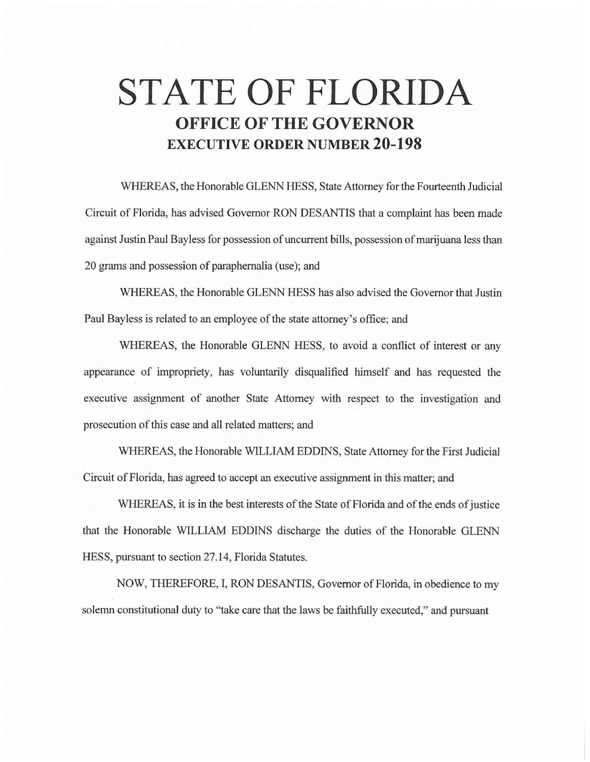## **STATE OF FLORIDA OFFICE OF THE GOVERNOR EXECUTIVE ORDER NUMBER 20-198**

WHEREAS, the Honorable GLENN HESS, State Attorney for the Fourteenth Judicial Circuit of Florida, has advised Governor RON DESANTIS that a complaint has been made against Justin Paul Bayless for possession of uncurrent bills, possession of marijuana less than 20 grams and possession of paraphernalia (use); and

WHEREAS, the Honorable GLENN HESS has also advised the Governor that Justin Paul Bayless is related to an employee of the state attorney's office; and

WHEREAS, the Honorable GLENN HESS, to avoid a conflict of interest or any appearance of impropriety, has voluntarily disqualified himself and has requested the executive assignment of another State Attorney with respect to the investigation and prosecution of this case and all related matters; and

WHEREAS, the Honorable WILLIAM EDDINS, State Attorney for the First Judicial Circuit of Florida, has agreed to accept an executive assignment in this matter; and

WHEREAS, it is in the best interests of the State of Florida and of the ends of justice that the Honorable WILLIAM EDDINS discharge the duties of the Honorable GLENN HESS, pursuant to section 27.14, Florida Statutes.

NOW, THEREFORE, I, RON DESANTIS, Governor of Florida, in obedience to my solemn constitutional duty to "take care that the laws be faithfully executed," and pursuant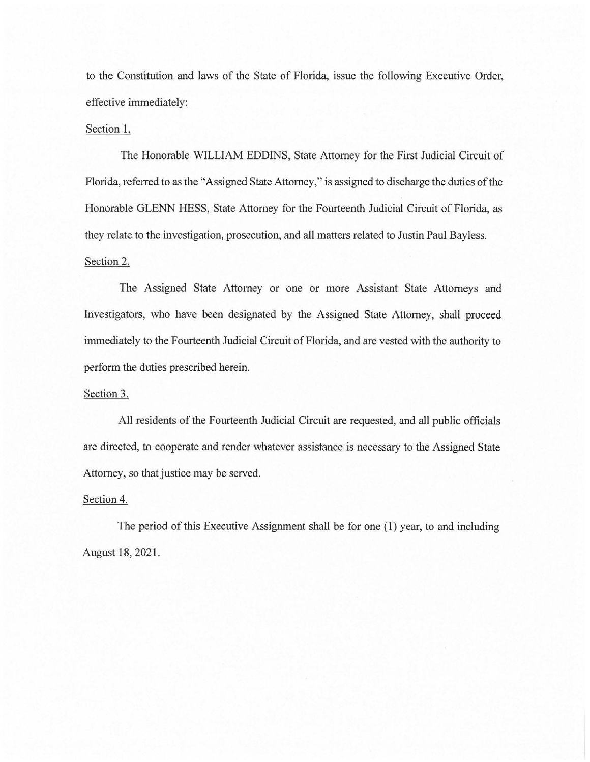to the Constitution and laws of the State of Florida, issue the following Executive Order, effective immediately:

## Section 1.

The Honorable WILLIAM EDDINS, State Attorney for the First Judicial Circuit of Florida, referred to as the "Assigned State Attorney," is assigned to discharge the duties of the Honorable GLENN HESS, State Attorney for the Fourteenth Judicial Circuit of Florida, as they relate to the investigation, prosecution, and all matters related to Justin Paul Bayless. Section 2.

The Assigned State Attorney or one or more Assistant State Attorneys and Investigators, who have been designated by the Assigned State Attorney, shall proceed immediately to the Fourteenth Judicial Circuit of Florida, and are vested with the authority to perform the duties prescribed herein.

## Section 3.

All residents of the Fourteenth Judicial Circuit are requested, and all public officials are directed, to cooperate and render whatever assistance is necessary to the Assigned State Attorney, so that justice may be served.

## Section 4.

The period of this Executive Assignment shall be for one (1) year, to and including August 18, 2021.